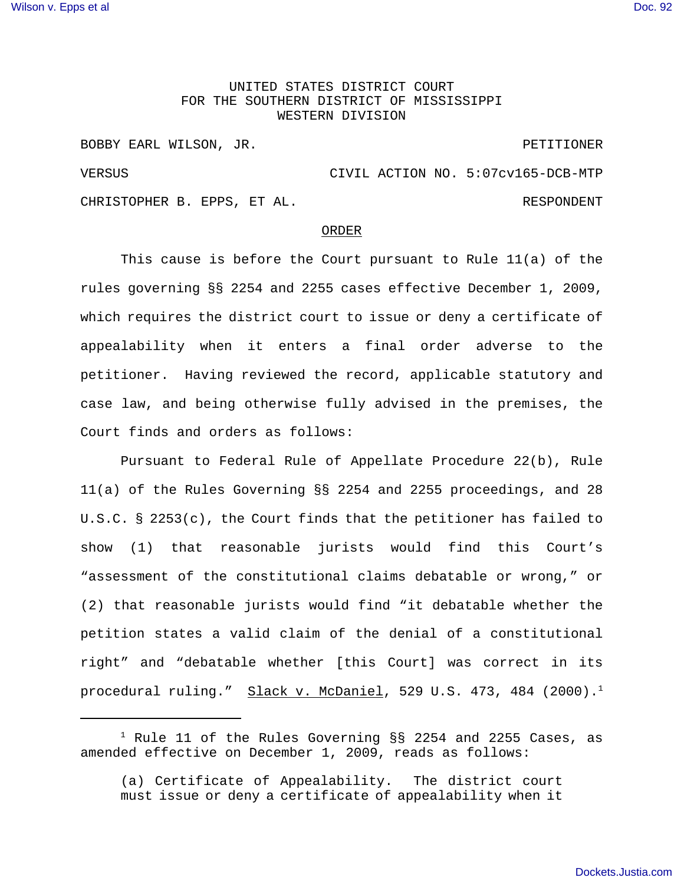## UNITED STATES DISTRICT COURT FOR THE SOUTHERN DISTRICT OF MISSISSIPPI WESTERN DIVISION

BOBBY EARL WILSON, JR. PETITIONER VERSUS CIVIL ACTION NO. 5:07cv165-DCB-MTP CHRISTOPHER B. EPPS, ET AL. And the set of the set of the set of the set of the set of the set of the set of t

## ORDER

This cause is before the Court pursuant to Rule 11(a) of the rules governing §§ 2254 and 2255 cases effective December 1, 2009, which requires the district court to issue or deny a certificate of appealability when it enters a final order adverse to the petitioner. Having reviewed the record, applicable statutory and case law, and being otherwise fully advised in the premises, the Court finds and orders as follows:

Pursuant to Federal Rule of Appellate Procedure 22(b), Rule 11(a) of the Rules Governing §§ 2254 and 2255 proceedings, and 28 U.S.C. § 2253(c), the Court finds that the petitioner has failed to show (1) that reasonable jurists would find this Court's "assessment of the constitutional claims debatable or wrong," or (2) that reasonable jurists would find "it debatable whether the petition states a valid claim of the denial of a constitutional right" and "debatable whether [this Court] was correct in its procedural ruling." Slack v. McDaniel, 529 U.S. 473, 484 (2000).<sup>1</sup>

 $^1$  Rule 11 of the Rules Governing  $\S$ § 2254 and 2255 Cases, as amended effective on December 1, 2009, reads as follows:

<sup>(</sup>a) Certificate of Appealability. The district court must issue or deny a certificate of appealability when it